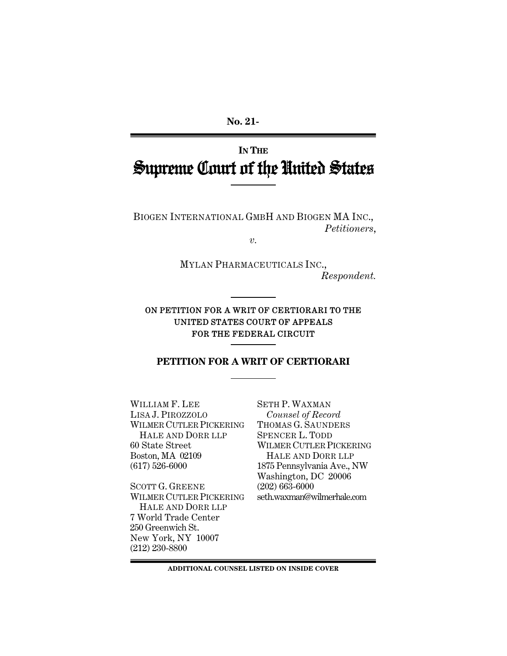**No. 21-** 

# **IN THE** Supreme Court of the United States

BIOGEN INTERNATIONAL GMBH AND BIOGEN MA INC., *Petitioners*,

*v.* 

MYLAN PHARMACEUTICALS INC., *Respondent.* 

ON PETITION FOR A WRIT OF CERTIORARI TO THE UNITED STATES COURT OF APPEALS FOR THE FEDERAL CIRCUIT

## **PETITION FOR A WRIT OF CERTIORARI**

WILLIAM F. LEE LISA J. PIROZZOLO WILMER CUTLER PICKERING HALE AND DORR LLP 60 State Street Boston, MA 02109 (617) 526-6000

SCOTT G. GREENE WILMER CUTLER PICKERING HALE AND DORR LLP 7 World Trade Center 250 Greenwich St. New York, NY 10007 (212) 230-8800

SETH P. WAXMAN *Counsel of Record* THOMAS G. SAUNDERS SPENCER L. TODD WILMER CUTLER PICKERING HALE AND DORR LLP 1875 Pennsylvania Ave., NW Washington, DC 20006 (202) 663-6000 seth.waxman@wilmerhale.com

**ADDITIONAL COUNSEL LISTED ON INSIDE COVER**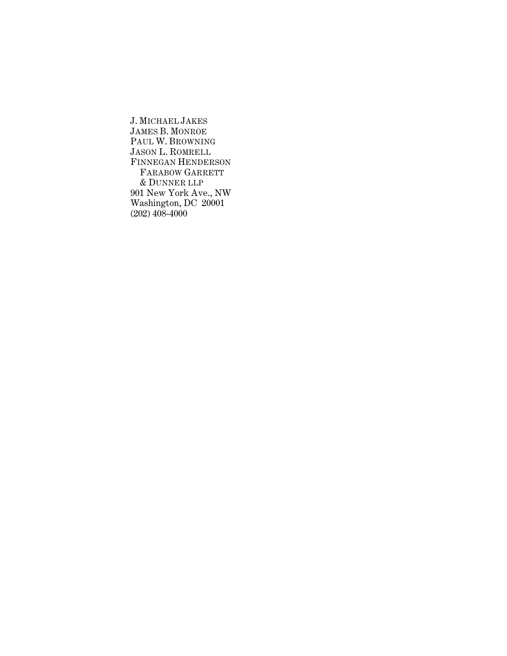J. MICHAEL JAKES JAMES B. MONROE PAUL W. BROWNING JASON L. ROMRELL FINNEGAN HENDERSON FARABOW GARRETT & DUNNER LLP 901 New York Ave., NW Washington, DC 20001  $(202)$  408-4000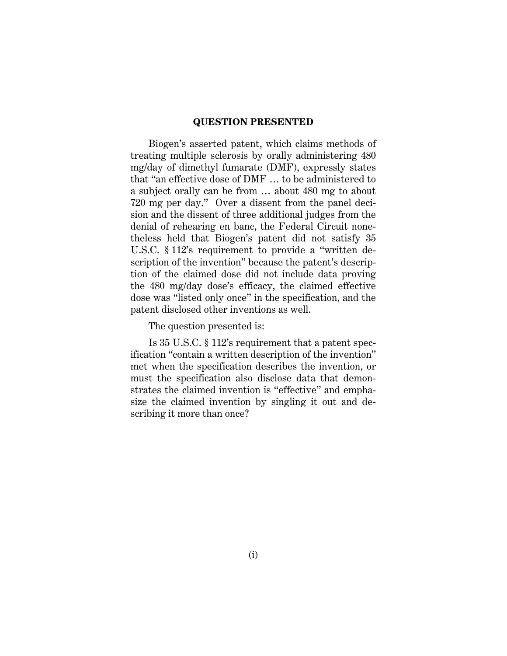#### **QUESTION PRESENTED**

Biogen's asserted patent, which claims methods of treating multiple sclerosis by orally administering 480 mg/day of dimethyl fumarate (DMF), expressly states that "an effective dose of DMF … to be administered to a subject orally can be from … about 480 mg to about 720 mg per day." Over a dissent from the panel decision and the dissent of three additional judges from the denial of rehearing en banc, the Federal Circuit nonetheless held that Biogen's patent did not satisfy 35 U.S.C. § 112's requirement to provide a "written description of the invention" because the patent's description of the claimed dose did not include data proving the 480 mg/day dose's efficacy, the claimed effective dose was "listed only once" in the specification, and the patent disclosed other inventions as well.

The question presented is:

Is 35 U.S.C. § 112's requirement that a patent specification "contain a written description of the invention" met when the specification describes the invention, or must the specification also disclose data that demonstrates the claimed invention is "effective" and emphasize the claimed invention by singling it out and describing it more than once?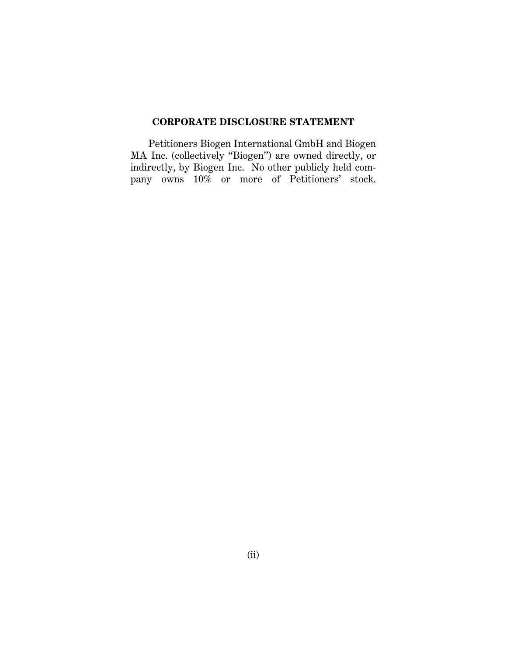#### **CORPORATE DISCLOSURE STATEMENT**

Petitioners Biogen International GmbH and Biogen MA Inc. (collectively "Biogen") are owned directly, or indirectly, by Biogen Inc. No other publicly held company owns 10% or more of Petitioners' stock.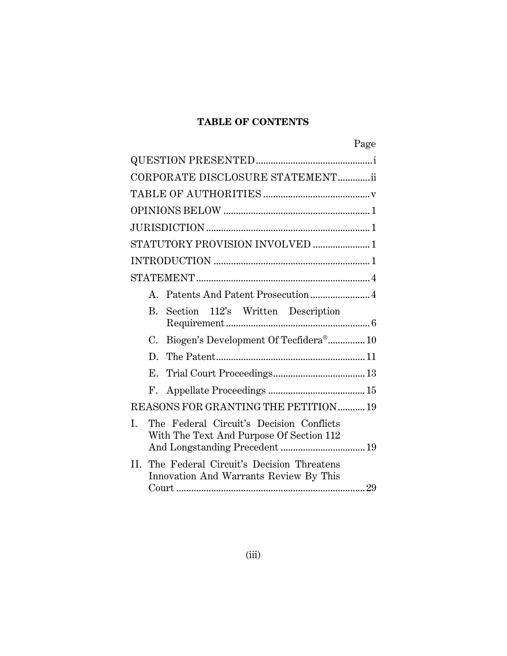# **TABLE OF CONTENTS**

|                                                                                            | Page |
|--------------------------------------------------------------------------------------------|------|
|                                                                                            |      |
| CORPORATE DISCLOSURE STATEMENTii                                                           |      |
|                                                                                            |      |
|                                                                                            |      |
|                                                                                            |      |
| STATUTORY PROVISION INVOLVED 1                                                             |      |
|                                                                                            |      |
|                                                                                            |      |
| A. Patents And Patent Prosecution  4                                                       |      |
| B.<br>Section 112's Written Description                                                    |      |
| Biogen's Development Of Tecfidera® 10<br>C.                                                |      |
| D.                                                                                         |      |
|                                                                                            |      |
|                                                                                            |      |
| REASONS FOR GRANTING THE PETITION  19                                                      |      |
| Ī.<br>The Federal Circuit's Decision Conflicts<br>With The Text And Purpose Of Section 112 |      |
| The Federal Circuit's Decision Threatens<br>II.<br>Innovation And Warrants Review By This  |      |
|                                                                                            |      |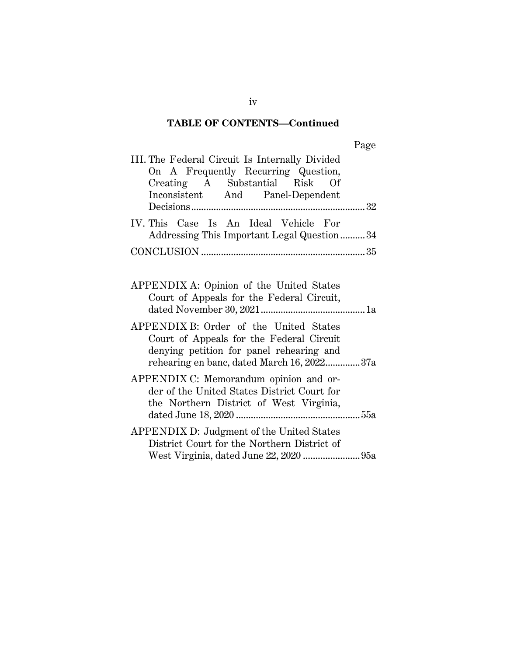# **TABLE OF CONTENTS—Continued**

|--|

| III. The Federal Circuit Is Internally Divided<br>On A Frequently Recurring Question,<br>Creating A Substantial Risk Of<br>Inconsistent And Panel-Dependent                  |  |
|------------------------------------------------------------------------------------------------------------------------------------------------------------------------------|--|
| IV. This Case Is An Ideal Vehicle For<br>Addressing This Important Legal Question 34                                                                                         |  |
|                                                                                                                                                                              |  |
| APPENDIX A: Opinion of the United States<br>Court of Appeals for the Federal Circuit,                                                                                        |  |
| APPENDIX B: Order of the United States<br>Court of Appeals for the Federal Circuit<br>denying petition for panel rehearing and<br>rehearing en banc, dated March 16, 202237a |  |
| APPENDIX C: Memorandum opinion and or-<br>der of the United States District Court for<br>the Northern District of West Virginia,                                             |  |
| APPENDIX D: Judgment of the United States<br>District Court for the Northern District of                                                                                     |  |

iv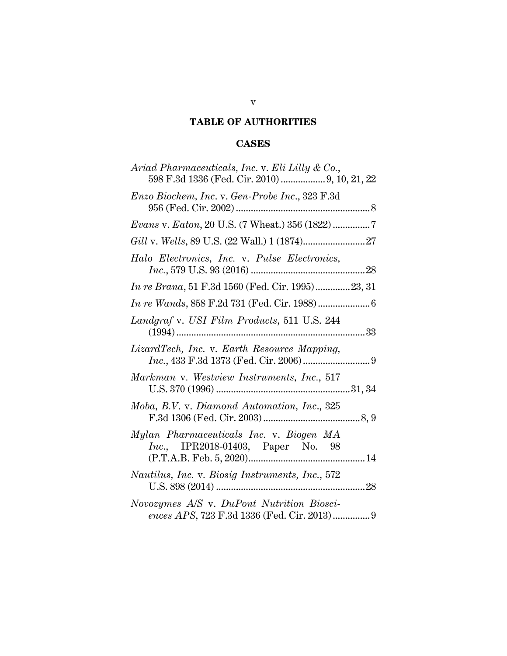## **TABLE OF AUTHORITIES**

# **CASES**

| Ariad Pharmaceuticals, Inc. v. Eli Lilly & Co.,<br>598 F.3d 1336 (Fed. Cir. 2010)  9, 10, 21, 22 |
|--------------------------------------------------------------------------------------------------|
| Enzo Biochem, Inc. v. Gen-Probe Inc., 323 F.3d                                                   |
| $Evans$ v. $Eaton$ , 20 U.S. (7 Wheat.) 356 (1822)7                                              |
|                                                                                                  |
| Halo Electronics, Inc. v. Pulse Electronics,                                                     |
| <i>In re Brana</i> , 51 F.3d 1560 (Fed. Cir. 1995)23, 31                                         |
|                                                                                                  |
| Landgraf v. USI Film Products, 511 U.S. 244                                                      |
| LizardTech, Inc. v. Earth Resource Mapping,                                                      |
| Markman v. Westview Instruments, Inc., 517                                                       |
| Moba, B.V. v. Diamond Automation, Inc., 325                                                      |
| Mylan Pharmaceuticals Inc. v. Biogen MA<br>Inc., IPR2018-01403, Paper No. 98                     |
| Nautilus, Inc. v. Biosig Instruments, Inc., 572                                                  |
| Novozymes A/S v. DuPont Nutrition Biosci-<br>ences APS, 723 F.3d 1336 (Fed. Cir. 2013) 9         |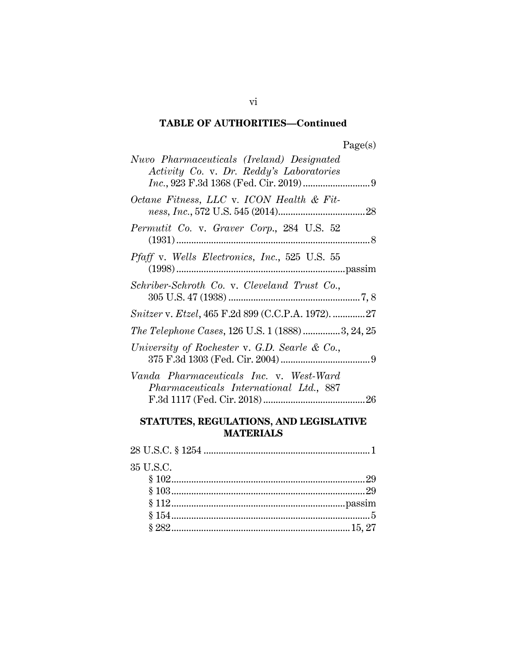# **TABLE OF AUTHORITIES—Continued**

| Nuvo Pharmaceuticals (Ireland) Designated<br>Activity Co. v. Dr. Reddy's Laboratories |
|---------------------------------------------------------------------------------------|
| Octane Fitness, LLC v. ICON Health & Fit-                                             |
| Permutit Co. v. Graver Corp., 284 U.S. 52                                             |
| <i>Pfaff</i> v. Wells <i>Electronics</i> , <i>Inc.</i> , 525 U.S. 55                  |
| Schriber-Schroth Co. v. Cleveland Trust Co.,                                          |
| Snitzer v. Etzel, 465 F.2d 899 (C.C.P.A. 1972). 27                                    |
| The Telephone Cases, 126 U.S. 1 (1888) 3, 24, 25                                      |
| University of Rochester v. G.D. Searle & Co.,                                         |
| Vanda Pharmaceuticals Inc. v. West-Ward<br>Pharmaceuticals International Ltd., 887    |

# **STATUTES, REGULATIONS, AND LEGISLATIVE MATERIALS**

| 35 U.S.C. |  |
|-----------|--|
|           |  |
|           |  |
|           |  |
|           |  |
|           |  |

vi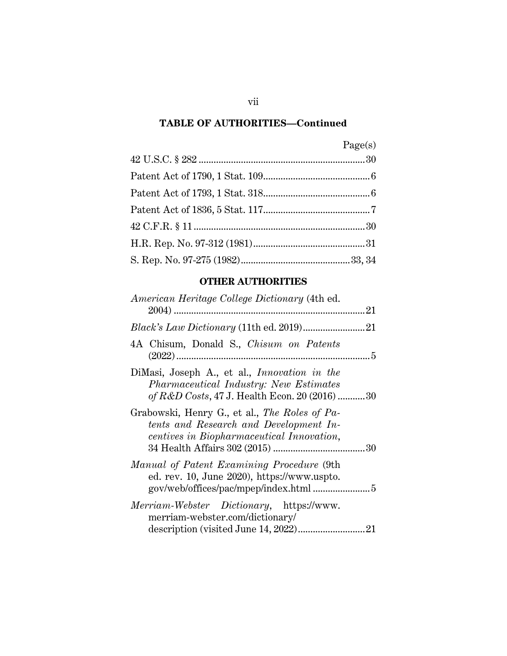## **TABLE OF AUTHORITIES—Continued**

| Page(s) |
|---------|
|         |
|         |
|         |
|         |
|         |
|         |
|         |

## **OTHER AUTHORITIES**

| American Heritage College Dictionary (4th ed.                                                                                                  |
|------------------------------------------------------------------------------------------------------------------------------------------------|
|                                                                                                                                                |
|                                                                                                                                                |
| 4A Chisum, Donald S., Chisum on Patents                                                                                                        |
| DiMasi, Joseph A., et al., <i>Innovation in the</i><br>Pharmaceutical Industry: New Estimates<br>of R&D Costs, 47 J. Health Econ. 20 (2016) 30 |
| Grabowski, Henry G., et al., <i>The Roles of Pa-</i><br>tents and Research and Development In-<br>centives in Biopharmaceutical Innovation,    |
| Manual of Patent Examining Procedure (9th<br>ed. rev. 10, June 2020), https://www.uspto.                                                       |
| <i>Merriam-Webster Dictionary</i> , https://www.<br>merriam-webster.com/dictionary/<br>21                                                      |

vii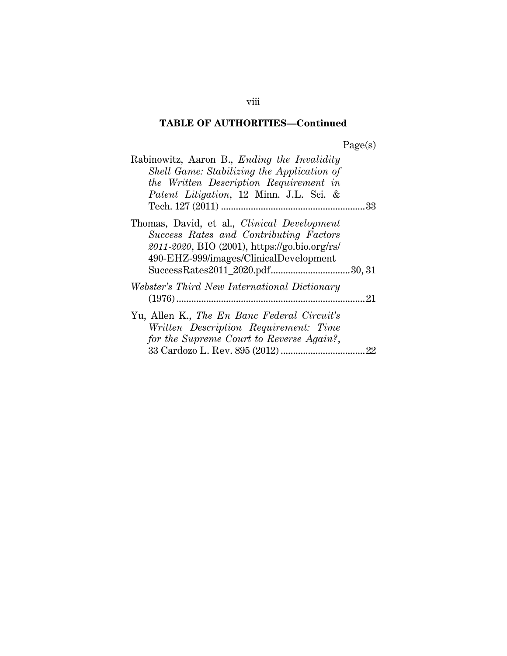# **TABLE OF AUTHORITIES—Continued**

| Rabinowitz, Aaron B., <i>Ending the Invalidity</i><br>Shell Game: Stabilizing the Application of<br>the Written Description Requirement in<br>Patent Litigation, 12 Minn. J.L. Sci. &   |  |
|-----------------------------------------------------------------------------------------------------------------------------------------------------------------------------------------|--|
|                                                                                                                                                                                         |  |
| Thomas, David, et al., <i>Clinical Development</i><br>Success Rates and Contributing Factors<br>2011-2020, BIO (2001), https://go.bio.org/rs/<br>490-EHZ-999/images/ClinicalDevelopment |  |
| Webster's Third New International Dictionary                                                                                                                                            |  |
| Yu, Allen K., The En Banc Federal Circuit's<br>Written Description Requirement: Time<br>for the Supreme Court to Reverse Again?,                                                        |  |

viii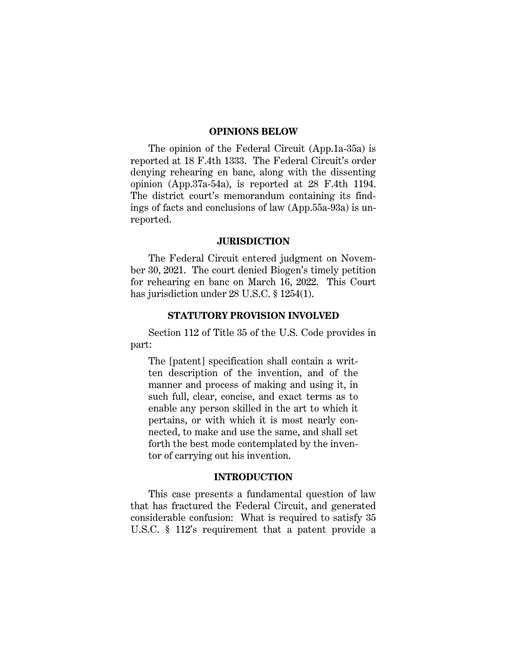#### **OPINIONS BELOW**

The opinion of the Federal Circuit (App.1a-35a) is reported at 18 F.4th 1333. The Federal Circuit's order denying rehearing en banc, along with the dissenting opinion (App.37a-54a), is reported at 28 F.4th 1194. The district court's memorandum containing its findings of facts and conclusions of law (App.55a-93a) is unreported.

#### **JURISDICTION**

The Federal Circuit entered judgment on November 30, 2021. The court denied Biogen's timely petition for rehearing en banc on March 16, 2022. This Court has jurisdiction under 28 U.S.C. § 1254(1).

#### **STATUTORY PROVISION INVOLVED**

Section 112 of Title 35 of the U.S. Code provides in part:

The [patent] specification shall contain a written description of the invention, and of the manner and process of making and using it, in such full, clear, concise, and exact terms as to enable any person skilled in the art to which it pertains, or with which it is most nearly connected, to make and use the same, and shall set forth the best mode contemplated by the inventor of carrying out his invention.

## **INTRODUCTION**

This case presents a fundamental question of law that has fractured the Federal Circuit, and generated considerable confusion: What is required to satisfy 35 U.S.C. § 112's requirement that a patent provide a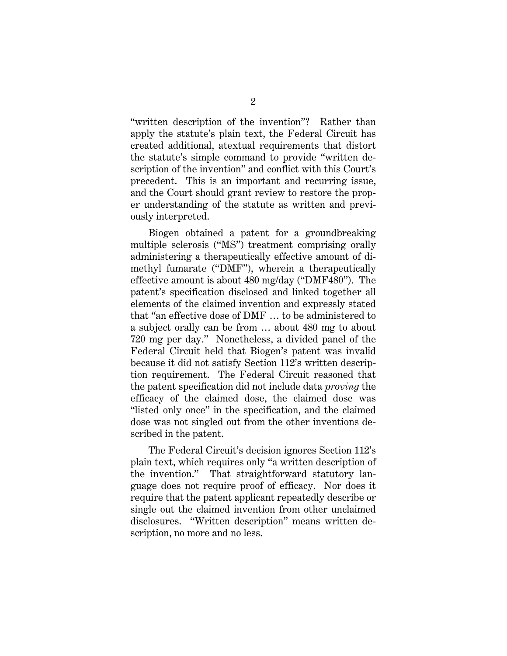"written description of the invention"? Rather than apply the statute's plain text, the Federal Circuit has created additional, atextual requirements that distort the statute's simple command to provide "written description of the invention" and conflict with this Court's precedent. This is an important and recurring issue, and the Court should grant review to restore the proper understanding of the statute as written and previously interpreted.

Biogen obtained a patent for a groundbreaking multiple sclerosis ("MS") treatment comprising orally administering a therapeutically effective amount of dimethyl fumarate ("DMF"), wherein a therapeutically effective amount is about 480 mg/day ("DMF480"). The patent's specification disclosed and linked together all elements of the claimed invention and expressly stated that "an effective dose of DMF … to be administered to a subject orally can be from … about 480 mg to about 720 mg per day." Nonetheless, a divided panel of the Federal Circuit held that Biogen's patent was invalid because it did not satisfy Section 112's written description requirement. The Federal Circuit reasoned that the patent specification did not include data *proving* the efficacy of the claimed dose, the claimed dose was "listed only once" in the specification, and the claimed dose was not singled out from the other inventions described in the patent.

The Federal Circuit's decision ignores Section 112's plain text, which requires only "a written description of the invention." That straightforward statutory language does not require proof of efficacy. Nor does it require that the patent applicant repeatedly describe or single out the claimed invention from other unclaimed disclosures. "Written description" means written description, no more and no less.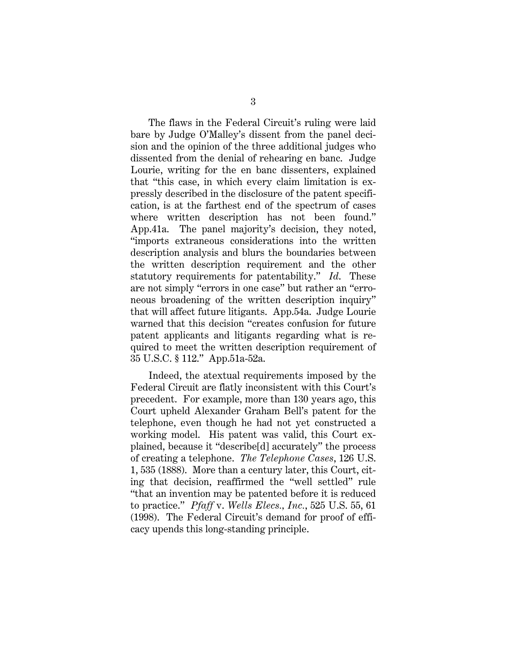The flaws in the Federal Circuit's ruling were laid bare by Judge O'Malley's dissent from the panel decision and the opinion of the three additional judges who dissented from the denial of rehearing en banc. Judge Lourie, writing for the en banc dissenters, explained that "this case, in which every claim limitation is expressly described in the disclosure of the patent specification, is at the farthest end of the spectrum of cases where written description has not been found." App.41a. The panel majority's decision, they noted, "imports extraneous considerations into the written description analysis and blurs the boundaries between the written description requirement and the other statutory requirements for patentability." *Id*. These are not simply "errors in one case" but rather an "erroneous broadening of the written description inquiry" that will affect future litigants. App.54a. Judge Lourie warned that this decision "creates confusion for future patent applicants and litigants regarding what is required to meet the written description requirement of 35 U.S.C. § 112." App.51a-52a.

Indeed, the atextual requirements imposed by the Federal Circuit are flatly inconsistent with this Court's precedent. For example, more than 130 years ago, this Court upheld Alexander Graham Bell's patent for the telephone, even though he had not yet constructed a working model. His patent was valid, this Court explained, because it "describe[d] accurately" the process of creating a telephone. *The Telephone Cases*, 126 U.S. 1, 535 (1888). More than a century later, this Court, citing that decision, reaffirmed the "well settled" rule "that an invention may be patented before it is reduced to practice." *Pfaff* v. *Wells Elecs., Inc.*, 525 U.S. 55, 61 (1998). The Federal Circuit's demand for proof of efficacy upends this long-standing principle.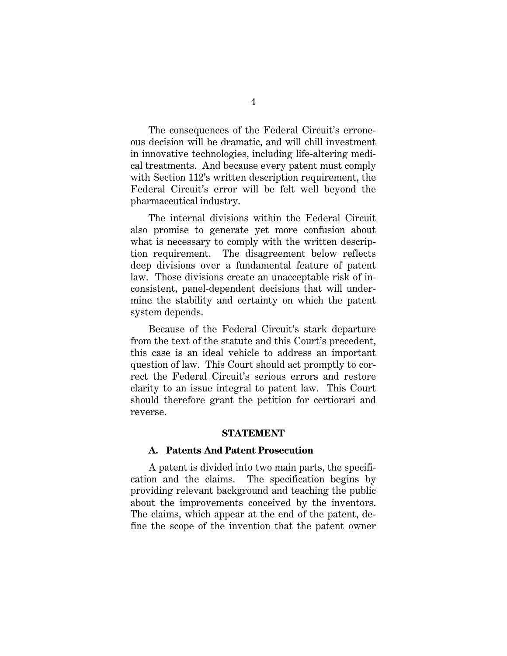The consequences of the Federal Circuit's erroneous decision will be dramatic, and will chill investment in innovative technologies, including life-altering medical treatments. And because every patent must comply with Section 112's written description requirement, the Federal Circuit's error will be felt well beyond the pharmaceutical industry.

The internal divisions within the Federal Circuit also promise to generate yet more confusion about what is necessary to comply with the written description requirement. The disagreement below reflects deep divisions over a fundamental feature of patent law. Those divisions create an unacceptable risk of inconsistent, panel-dependent decisions that will undermine the stability and certainty on which the patent system depends.

Because of the Federal Circuit's stark departure from the text of the statute and this Court's precedent, this case is an ideal vehicle to address an important question of law. This Court should act promptly to correct the Federal Circuit's serious errors and restore clarity to an issue integral to patent law. This Court should therefore grant the petition for certiorari and reverse.

#### **STATEMENT**

#### **A. Patents And Patent Prosecution**

A patent is divided into two main parts, the specification and the claims. The specification begins by providing relevant background and teaching the public about the improvements conceived by the inventors. The claims, which appear at the end of the patent, define the scope of the invention that the patent owner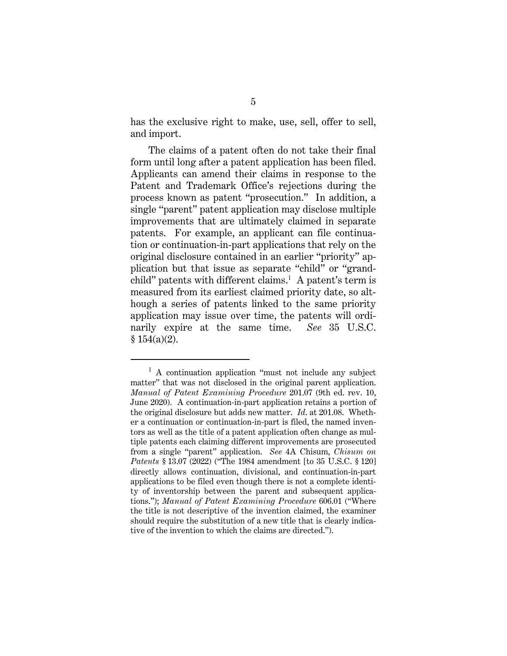has the exclusive right to make, use, sell, offer to sell, and import.

The claims of a patent often do not take their final form until long after a patent application has been filed. Applicants can amend their claims in response to the Patent and Trademark Office's rejections during the process known as patent "prosecution." In addition, a single "parent" patent application may disclose multiple improvements that are ultimately claimed in separate patents. For example, an applicant can file continuation or continuation-in-part applications that rely on the original disclosure contained in an earlier "priority" application but that issue as separate "child" or "grandchild" patents with different claims.<sup>1</sup> A patent's term is measured from its earliest claimed priority date, so although a series of patents linked to the same priority application may issue over time, the patents will ordinarily expire at the same time. *See* 35 U.S.C.  $$154(a)(2)$ .

<sup>&</sup>lt;sup>1</sup> A continuation application "must not include any subject matter" that was not disclosed in the original parent application. *Manual of Patent Examining Procedure* 201.07 (9th ed. rev. 10, June 2020). A continuation-in-part application retains a portion of the original disclosure but adds new matter. *Id*. at 201.08. Whether a continuation or continuation-in-part is filed, the named inventors as well as the title of a patent application often change as multiple patents each claiming different improvements are prosecuted from a single "parent" application. *See* 4A Chisum, *Chisum on Patents* § 13.07 (2022) ("The 1984 amendment [to 35 U.S.C. § 120] directly allows continuation, divisional, and continuation-in-part applications to be filed even though there is not a complete identity of inventorship between the parent and subsequent applications."); *Manual of Patent Examining Procedure* 606.01 ("Where the title is not descriptive of the invention claimed, the examiner should require the substitution of a new title that is clearly indicative of the invention to which the claims are directed.").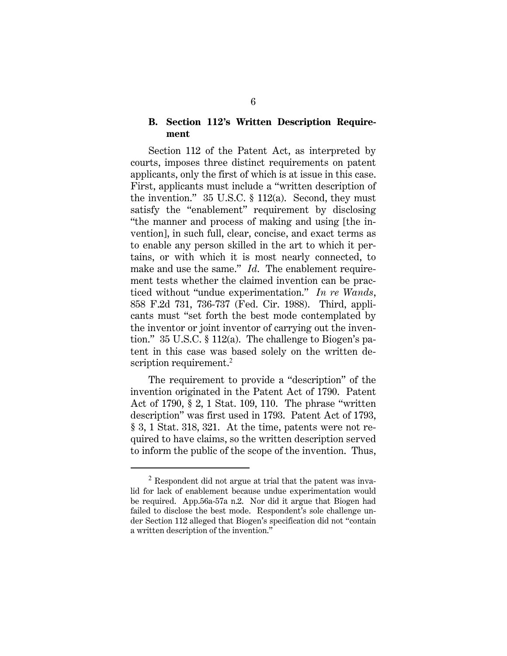### **B. Section 112's Written Description Requirement**

Section 112 of the Patent Act, as interpreted by courts, imposes three distinct requirements on patent applicants, only the first of which is at issue in this case. First, applicants must include a "written description of the invention."  $35 \text{ U.S.C.} \$  112(a). Second, they must satisfy the "enablement" requirement by disclosing "the manner and process of making and using [the invention], in such full, clear, concise, and exact terms as to enable any person skilled in the art to which it pertains, or with which it is most nearly connected, to make and use the same." *Id*. The enablement requirement tests whether the claimed invention can be practiced without "undue experimentation." *In re Wands*, 858 F.2d 731, 736-737 (Fed. Cir. 1988). Third, applicants must "set forth the best mode contemplated by the inventor or joint inventor of carrying out the invention." 35 U.S.C. § 112(a). The challenge to Biogen's patent in this case was based solely on the written description requirement.<sup>2</sup>

The requirement to provide a "description" of the invention originated in the Patent Act of 1790. Patent Act of 1790, § 2, 1 Stat. 109, 110. The phrase "written description" was first used in 1793. Patent Act of 1793, § 3, 1 Stat. 318, 321. At the time, patents were not required to have claims, so the written description served to inform the public of the scope of the invention. Thus,

 $2$  Respondent did not argue at trial that the patent was invalid for lack of enablement because undue experimentation would be required. App.56a-57a n.2. Nor did it argue that Biogen had failed to disclose the best mode. Respondent's sole challenge under Section 112 alleged that Biogen's specification did not "contain a written description of the invention."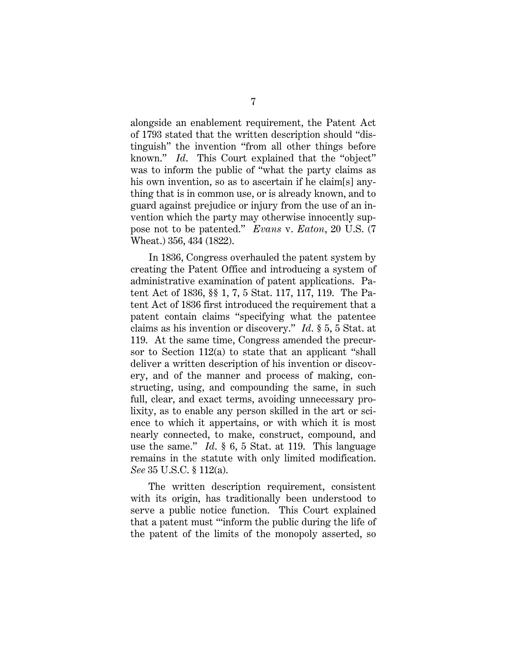alongside an enablement requirement, the Patent Act of 1793 stated that the written description should "distinguish" the invention "from all other things before known." *Id*. This Court explained that the "object" was to inform the public of "what the party claims as his own invention, so as to ascertain if he claim[s] anything that is in common use, or is already known, and to guard against prejudice or injury from the use of an invention which the party may otherwise innocently suppose not to be patented." *Evans* v. *Eaton*, 20 U.S. (7 Wheat.) 356, 434 (1822).

In 1836, Congress overhauled the patent system by creating the Patent Office and introducing a system of administrative examination of patent applications. Patent Act of 1836, §§ 1, 7, 5 Stat. 117, 117, 119. The Patent Act of 1836 first introduced the requirement that a patent contain claims "specifying what the patentee claims as his invention or discovery." *Id*. § 5, 5 Stat. at 119. At the same time, Congress amended the precursor to Section 112(a) to state that an applicant "shall deliver a written description of his invention or discovery, and of the manner and process of making, constructing, using, and compounding the same, in such full, clear, and exact terms, avoiding unnecessary prolixity, as to enable any person skilled in the art or science to which it appertains, or with which it is most nearly connected, to make, construct, compound, and use the same." *Id*. § 6, 5 Stat. at 119. This language remains in the statute with only limited modification. *See* 35 U.S.C. § 112(a).

The written description requirement, consistent with its origin, has traditionally been understood to serve a public notice function. This Court explained that a patent must "'inform the public during the life of the patent of the limits of the monopoly asserted, so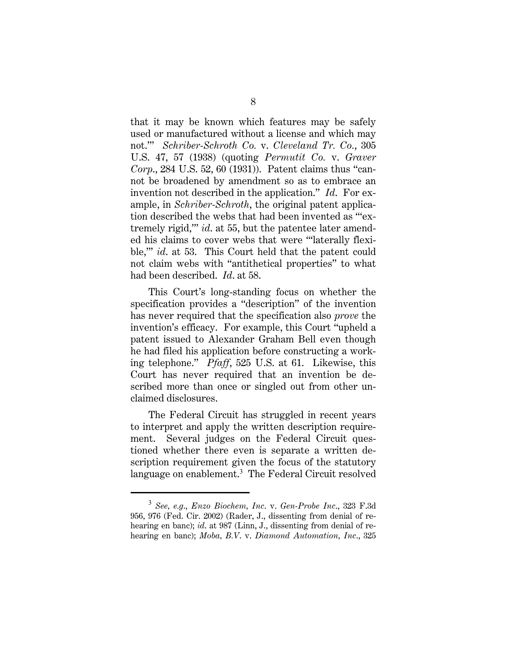that it may be known which features may be safely used or manufactured without a license and which may not.'" *Schriber-Schroth Co.* v. *Cleveland Tr. Co.*, 305 U.S. 47, 57 (1938) (quoting *Permutit Co.* v. *Graver Corp*., 284 U.S. 52, 60 (1931)). Patent claims thus "cannot be broadened by amendment so as to embrace an invention not described in the application." *Id*. For example, in *Schriber-Schroth*, the original patent application described the webs that had been invented as "'extremely rigid,'" *id*. at 55, but the patentee later amended his claims to cover webs that were "'laterally flexible,'" *id*. at 53. This Court held that the patent could not claim webs with "antithetical properties" to what had been described. *Id*. at 58.

This Court's long-standing focus on whether the specification provides a "description" of the invention has never required that the specification also *prove* the invention's efficacy. For example, this Court "upheld a patent issued to Alexander Graham Bell even though he had filed his application before constructing a working telephone." *Pfaff*, 525 U.S. at 61. Likewise, this Court has never required that an invention be described more than once or singled out from other unclaimed disclosures.

The Federal Circuit has struggled in recent years to interpret and apply the written description requirement. Several judges on the Federal Circuit questioned whether there even is separate a written description requirement given the focus of the statutory language on enablement.<sup>3</sup> The Federal Circuit resolved

<sup>3</sup> *See, e.g*., *Enzo Biochem, Inc*. v. *Gen-Probe Inc*., 323 F.3d 956, 976 (Fed. Cir. 2002) (Rader, J., dissenting from denial of rehearing en banc); *id*. at 987 (Linn, J., dissenting from denial of rehearing en banc); *Moba, B.V*. v. *Diamond Automation, Inc*., 325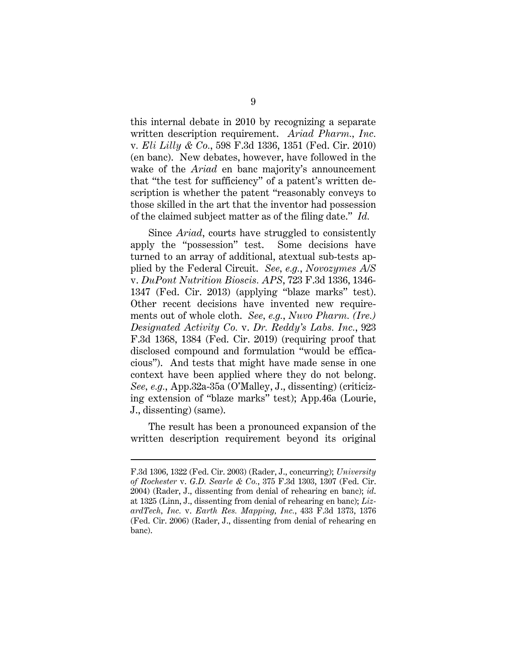this internal debate in 2010 by recognizing a separate written description requirement. *Ariad Pharm., Inc.*  v*. Eli Lilly & Co.*, 598 F.3d 1336, 1351 (Fed. Cir. 2010) (en banc). New debates, however, have followed in the wake of the *Ariad* en banc majority's announcement that "the test for sufficiency" of a patent's written description is whether the patent "reasonably conveys to those skilled in the art that the inventor had possession of the claimed subject matter as of the filing date." *Id.*

Since *Ariad*, courts have struggled to consistently apply the "possession" test. Some decisions have turned to an array of additional, atextual sub-tests applied by the Federal Circuit. *See, e.g.*, *Novozymes A/S*  v. *DuPont Nutrition Bioscis. APS*, 723 F.3d 1336, 1346- 1347 (Fed. Cir. 2013) (applying "blaze marks" test). Other recent decisions have invented new requirements out of whole cloth. *See, e.g.*, *Nuvo Pharm. (Ire.) Designated Activity Co.* v. *Dr. Reddy's Labs. Inc.*, 923 F.3d 1368, 1384 (Fed. Cir. 2019) (requiring proof that disclosed compound and formulation "would be efficacious"). And tests that might have made sense in one context have been applied where they do not belong. *See, e.g.*, App.32a-35a (O'Malley, J., dissenting) (criticizing extension of "blaze marks" test); App.46a (Lourie, J., dissenting) (same).

The result has been a pronounced expansion of the written description requirement beyond its original

F.3d 1306, 1322 (Fed. Cir. 2003) (Rader, J., concurring); *University of Rochester* v. *G.D. Searle & Co.*, 375 F.3d 1303, 1307 (Fed. Cir. 2004) (Rader, J., dissenting from denial of rehearing en banc); *id*. at 1325 (Linn, J., dissenting from denial of rehearing en banc); *LizardTech, Inc.* v. *Earth Res. Mapping, Inc.*, 433 F.3d 1373, 1376 (Fed. Cir. 2006) (Rader, J., dissenting from denial of rehearing en banc).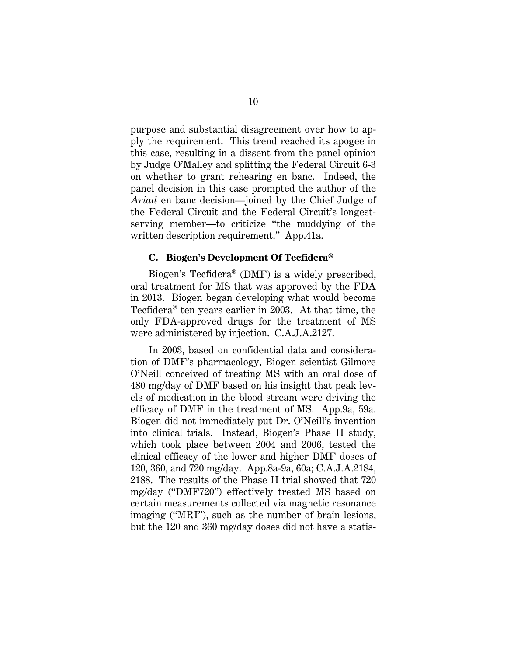purpose and substantial disagreement over how to apply the requirement. This trend reached its apogee in this case, resulting in a dissent from the panel opinion by Judge O'Malley and splitting the Federal Circuit 6-3 on whether to grant rehearing en banc. Indeed, the panel decision in this case prompted the author of the *Ariad* en banc decision—joined by the Chief Judge of the Federal Circuit and the Federal Circuit's longestserving member—to criticize "the muddying of the written description requirement." App.41a.

#### **C. Biogen's Development Of Tecfidera®**

Biogen's Tecfidera® (DMF) is a widely prescribed, oral treatment for MS that was approved by the FDA in 2013. Biogen began developing what would become Tecfidera® ten years earlier in 2003. At that time, the only FDA-approved drugs for the treatment of MS were administered by injection. C.A.J.A.2127.

In 2003, based on confidential data and consideration of DMF's pharmacology, Biogen scientist Gilmore O'Neill conceived of treating MS with an oral dose of 480 mg/day of DMF based on his insight that peak levels of medication in the blood stream were driving the efficacy of DMF in the treatment of MS. App.9a, 59a. Biogen did not immediately put Dr. O'Neill's invention into clinical trials. Instead, Biogen's Phase II study, which took place between 2004 and 2006, tested the clinical efficacy of the lower and higher DMF doses of 120, 360, and 720 mg/day. App.8a-9a, 60a; C.A.J.A.2184, 2188. The results of the Phase II trial showed that 720 mg/day ("DMF720") effectively treated MS based on certain measurements collected via magnetic resonance imaging ("MRI"), such as the number of brain lesions, but the 120 and 360 mg/day doses did not have a statis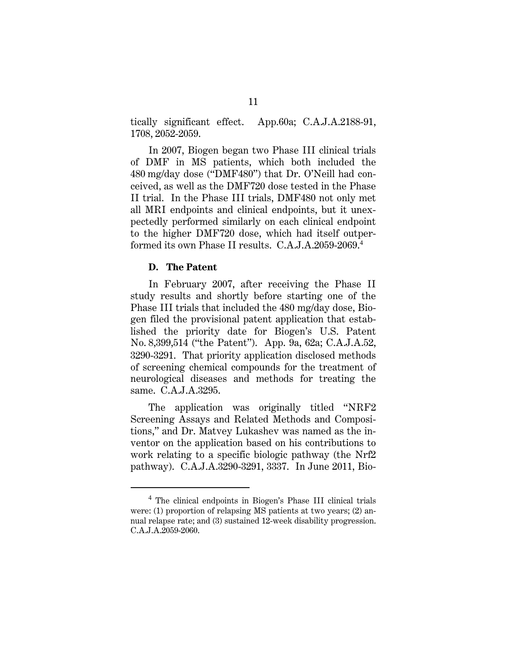tically significant effect. App.60a; C.A.J.A.2188-91, 1708, 2052-2059.

In 2007, Biogen began two Phase III clinical trials of DMF in MS patients, which both included the 480 mg/day dose ("DMF480") that Dr. O'Neill had conceived, as well as the DMF720 dose tested in the Phase II trial. In the Phase III trials, DMF480 not only met all MRI endpoints and clinical endpoints, but it unexpectedly performed similarly on each clinical endpoint to the higher DMF720 dose, which had itself outperformed its own Phase II results. C.A.J.A.2059-2069.<sup>4</sup>

#### **D. The Patent**

In February 2007, after receiving the Phase II study results and shortly before starting one of the Phase III trials that included the 480 mg/day dose, Biogen filed the provisional patent application that established the priority date for Biogen's U.S. Patent No. 8,399,514 ("the Patent"). App. 9a, 62a; C.A.J.A.52, 3290-3291. That priority application disclosed methods of screening chemical compounds for the treatment of neurological diseases and methods for treating the same. C.A.J.A.3295.

The application was originally titled "NRF2 Screening Assays and Related Methods and Compositions," and Dr. Matvey Lukashev was named as the inventor on the application based on his contributions to work relating to a specific biologic pathway (the Nrf2 pathway). C.A.J.A.3290-3291, 3337. In June 2011, Bio-

<sup>&</sup>lt;sup>4</sup> The clinical endpoints in Biogen's Phase III clinical trials were: (1) proportion of relapsing MS patients at two years; (2) annual relapse rate; and (3) sustained 12-week disability progression. C.A.J.A.2059-2060.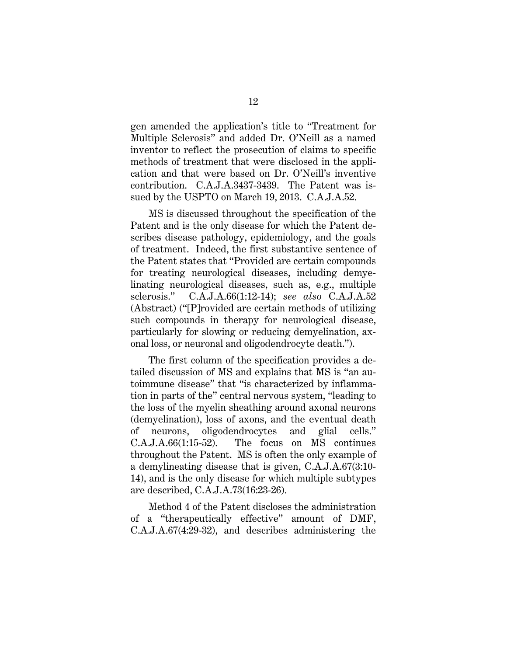gen amended the application's title to "Treatment for Multiple Sclerosis" and added Dr. O'Neill as a named inventor to reflect the prosecution of claims to specific methods of treatment that were disclosed in the application and that were based on Dr. O'Neill's inventive contribution. C.A.J.A.3437-3439. The Patent was issued by the USPTO on March 19, 2013. C.A.J.A.52.

MS is discussed throughout the specification of the Patent and is the only disease for which the Patent describes disease pathology, epidemiology, and the goals of treatment. Indeed, the first substantive sentence of the Patent states that "Provided are certain compounds for treating neurological diseases, including demyelinating neurological diseases, such as, e.g., multiple sclerosis." C.A.J.A.66(1:12-14); *see also* C.A.J.A.52 (Abstract) ("[P]rovided are certain methods of utilizing such compounds in therapy for neurological disease, particularly for slowing or reducing demyelination, axonal loss, or neuronal and oligodendrocyte death.").

The first column of the specification provides a detailed discussion of MS and explains that MS is "an autoimmune disease" that "is characterized by inflammation in parts of the" central nervous system, "leading to the loss of the myelin sheathing around axonal neurons (demyelination), loss of axons, and the eventual death of neurons, oligodendrocytes and glial cells." C.A.J.A.66(1:15-52). The focus on MS continues throughout the Patent. MS is often the only example of a demylineating disease that is given, C.A.J.A.67(3:10- 14), and is the only disease for which multiple subtypes are described, C.A.J.A.73(16:23-26).

Method 4 of the Patent discloses the administration of a "therapeutically effective" amount of DMF, C.A.J.A.67(4:29-32), and describes administering the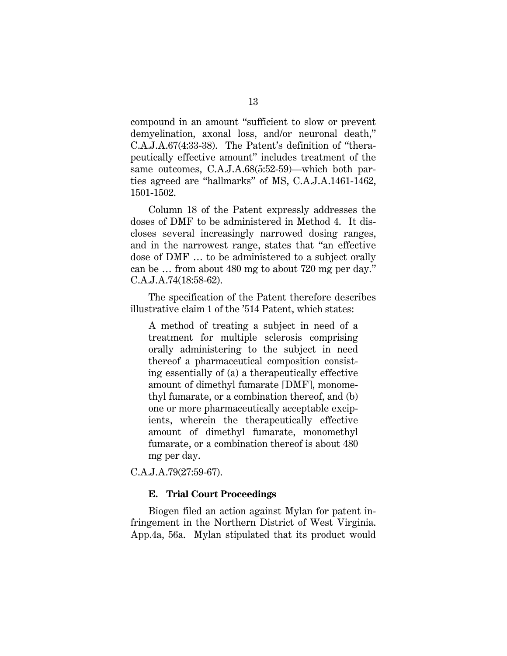compound in an amount "sufficient to slow or prevent demyelination, axonal loss, and/or neuronal death," C.A.J.A.67(4:33-38). The Patent's definition of "therapeutically effective amount" includes treatment of the same outcomes, C.A.J.A.68(5:52-59)—which both parties agreed are "hallmarks" of MS, C.A.J.A.1461-1462, 1501-1502.

Column 18 of the Patent expressly addresses the doses of DMF to be administered in Method 4. It discloses several increasingly narrowed dosing ranges, and in the narrowest range, states that "an effective dose of DMF … to be administered to a subject orally can be … from about 480 mg to about 720 mg per day." C.A.J.A.74(18:58-62).

The specification of the Patent therefore describes illustrative claim 1 of the '514 Patent, which states:

A method of treating a subject in need of a treatment for multiple sclerosis comprising orally administering to the subject in need thereof a pharmaceutical composition consisting essentially of (a) a therapeutically effective amount of dimethyl fumarate [DMF], monomethyl fumarate, or a combination thereof, and (b) one or more pharmaceutically acceptable excipients, wherein the therapeutically effective amount of dimethyl fumarate, monomethyl fumarate, or a combination thereof is about 480 mg per day.

C.A.J.A.79(27:59-67).

#### **E. Trial Court Proceedings**

Biogen filed an action against Mylan for patent infringement in the Northern District of West Virginia. App.4a, 56a. Mylan stipulated that its product would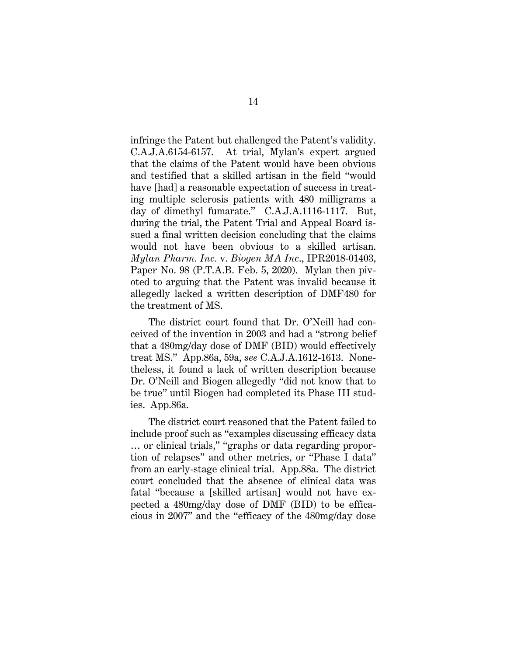infringe the Patent but challenged the Patent's validity. C.A.J.A.6154-6157. At trial, Mylan's expert argued that the claims of the Patent would have been obvious and testified that a skilled artisan in the field "would have [had] a reasonable expectation of success in treating multiple sclerosis patients with 480 milligrams a day of dimethyl fumarate." C.A.J.A.1116-1117. But, during the trial, the Patent Trial and Appeal Board issued a final written decision concluding that the claims would not have been obvious to a skilled artisan. *Mylan Pharm. Inc.* v. *Biogen MA Inc*., IPR2018-01403, Paper No. 98 (P.T.A.B. Feb. 5, 2020). Mylan then pivoted to arguing that the Patent was invalid because it allegedly lacked a written description of DMF480 for the treatment of MS.

The district court found that Dr. O'Neill had conceived of the invention in 2003 and had a "strong belief that a 480mg/day dose of DMF (BID) would effectively treat MS." App.86a, 59a, *see* C.A.J.A.1612-1613. Nonetheless, it found a lack of written description because Dr. O'Neill and Biogen allegedly "did not know that to be true" until Biogen had completed its Phase III studies. App.86a.

The district court reasoned that the Patent failed to include proof such as "examples discussing efficacy data … or clinical trials," "graphs or data regarding proportion of relapses" and other metrics, or "Phase I data" from an early-stage clinical trial. App.88a. The district court concluded that the absence of clinical data was fatal "because a [skilled artisan] would not have expected a 480mg/day dose of DMF (BID) to be efficacious in 2007" and the "efficacy of the 480mg/day dose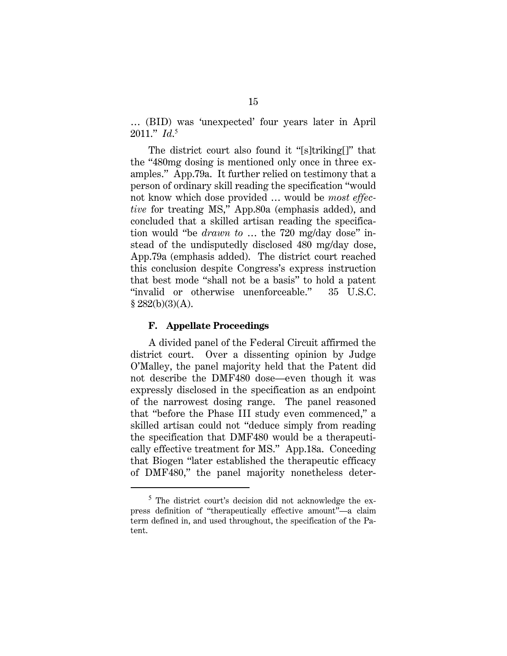… (BID) was 'unexpected' four years later in April 2011." *Id*. 5

The district court also found it "[s]triking[]" that the "480mg dosing is mentioned only once in three examples." App.79a. It further relied on testimony that a person of ordinary skill reading the specification "would not know which dose provided … would be *most effective* for treating MS," App.80a (emphasis added), and concluded that a skilled artisan reading the specification would "be *drawn to* … the 720 mg/day dose" instead of the undisputedly disclosed 480 mg/day dose, App.79a (emphasis added). The district court reached this conclusion despite Congress's express instruction that best mode "shall not be a basis" to hold a patent "invalid or otherwise unenforceable." 35 U.S.C.  $$282(b)(3)(A).$ 

#### **F. Appellate Proceedings**

A divided panel of the Federal Circuit affirmed the district court. Over a dissenting opinion by Judge O'Malley, the panel majority held that the Patent did not describe the DMF480 dose—even though it was expressly disclosed in the specification as an endpoint of the narrowest dosing range. The panel reasoned that "before the Phase III study even commenced," a skilled artisan could not "deduce simply from reading the specification that DMF480 would be a therapeutically effective treatment for MS." App.18a. Conceding that Biogen "later established the therapeutic efficacy of DMF480," the panel majority nonetheless deter-

<sup>&</sup>lt;sup>5</sup> The district court's decision did not acknowledge the express definition of "therapeutically effective amount"—a claim term defined in, and used throughout, the specification of the Patent.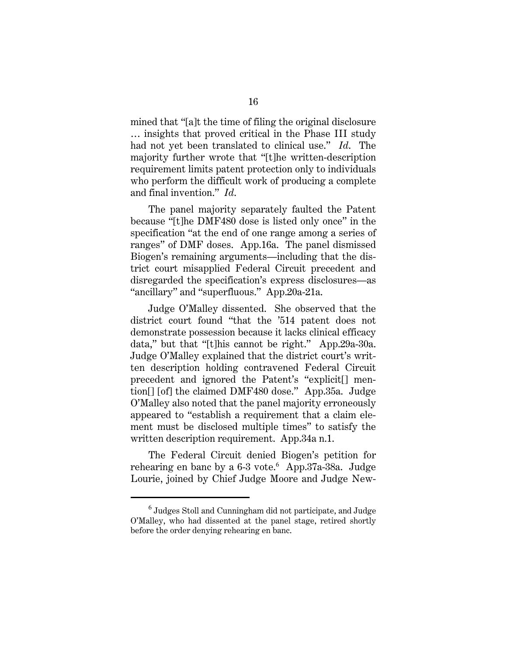mined that "[a]t the time of filing the original disclosure … insights that proved critical in the Phase III study had not yet been translated to clinical use." *Id*. The majority further wrote that "[t]he written-description requirement limits patent protection only to individuals who perform the difficult work of producing a complete and final invention." *Id*.

The panel majority separately faulted the Patent because "[t]he DMF480 dose is listed only once" in the specification "at the end of one range among a series of ranges" of DMF doses. App.16a. The panel dismissed Biogen's remaining arguments—including that the district court misapplied Federal Circuit precedent and disregarded the specification's express disclosures—as "ancillary" and "superfluous." App.20a-21a.

Judge O'Malley dissented. She observed that the district court found "that the '514 patent does not demonstrate possession because it lacks clinical efficacy data," but that "[t]his cannot be right." App.29a-30a. Judge O'Malley explained that the district court's written description holding contravened Federal Circuit precedent and ignored the Patent's "explicit[] mention[] [of] the claimed DMF480 dose." App.35a. Judge O'Malley also noted that the panel majority erroneously appeared to "establish a requirement that a claim element must be disclosed multiple times" to satisfy the written description requirement. App.34a n.1.

The Federal Circuit denied Biogen's petition for rehearing en banc by a 6-3 vote.<sup>6</sup> App.37a-38a. Judge Lourie, joined by Chief Judge Moore and Judge New-

 $^6$  Judges Stoll and Cunningham did not participate, and Judge O'Malley, who had dissented at the panel stage, retired shortly before the order denying rehearing en banc.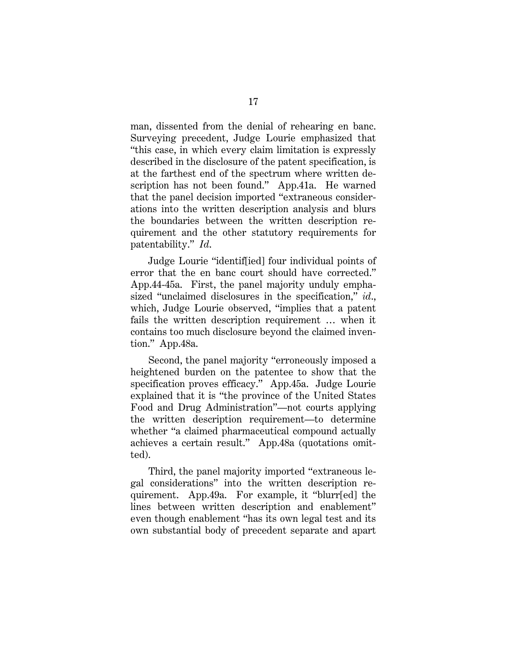man, dissented from the denial of rehearing en banc. Surveying precedent, Judge Lourie emphasized that "this case, in which every claim limitation is expressly described in the disclosure of the patent specification, is at the farthest end of the spectrum where written description has not been found." App.41a. He warned that the panel decision imported "extraneous considerations into the written description analysis and blurs the boundaries between the written description requirement and the other statutory requirements for patentability." *Id*.

Judge Lourie "identif[ied] four individual points of error that the en banc court should have corrected." App.44-45a. First, the panel majority unduly emphasized "unclaimed disclosures in the specification," *id*., which, Judge Lourie observed, "implies that a patent fails the written description requirement … when it contains too much disclosure beyond the claimed invention." App.48a.

Second, the panel majority "erroneously imposed a heightened burden on the patentee to show that the specification proves efficacy." App.45a. Judge Lourie explained that it is "the province of the United States Food and Drug Administration"—not courts applying the written description requirement—to determine whether "a claimed pharmaceutical compound actually achieves a certain result." App.48a (quotations omitted).

Third, the panel majority imported "extraneous legal considerations" into the written description requirement. App.49a. For example, it "blurr[ed] the lines between written description and enablement" even though enablement "has its own legal test and its own substantial body of precedent separate and apart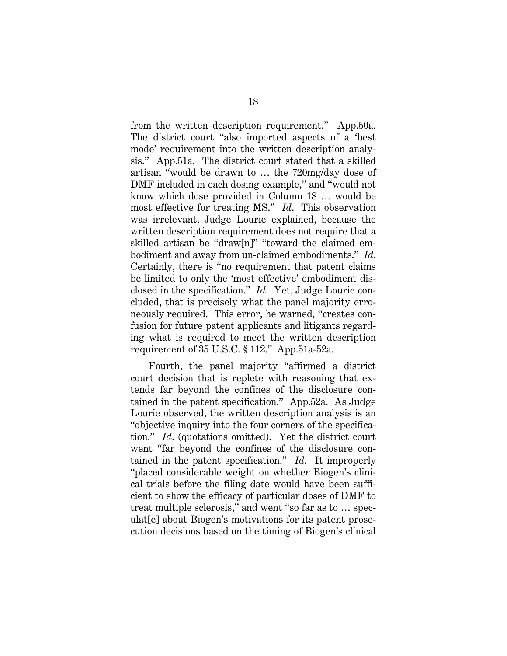from the written description requirement." App.50a. The district court "also imported aspects of a 'best mode' requirement into the written description analysis." App.51a. The district court stated that a skilled artisan "would be drawn to … the 720mg/day dose of DMF included in each dosing example," and "would not know which dose provided in Column 18 … would be most effective for treating MS." *Id*. This observation was irrelevant, Judge Lourie explained, because the written description requirement does not require that a skilled artisan be "draw[n]" "toward the claimed embodiment and away from un-claimed embodiments." *Id*. Certainly, there is "no requirement that patent claims be limited to only the 'most effective' embodiment disclosed in the specification." *Id*. Yet, Judge Lourie concluded, that is precisely what the panel majority erroneously required. This error, he warned, "creates confusion for future patent applicants and litigants regarding what is required to meet the written description requirement of 35 U.S.C. § 112." App.51a-52a.

Fourth, the panel majority "affirmed a district court decision that is replete with reasoning that extends far beyond the confines of the disclosure contained in the patent specification." App.52a. As Judge Lourie observed, the written description analysis is an "objective inquiry into the four corners of the specification." *Id*. (quotations omitted). Yet the district court went "far beyond the confines of the disclosure contained in the patent specification." *Id*. It improperly "placed considerable weight on whether Biogen's clinical trials before the filing date would have been sufficient to show the efficacy of particular doses of DMF to treat multiple sclerosis," and went "so far as to … speculat[e] about Biogen's motivations for its patent prosecution decisions based on the timing of Biogen's clinical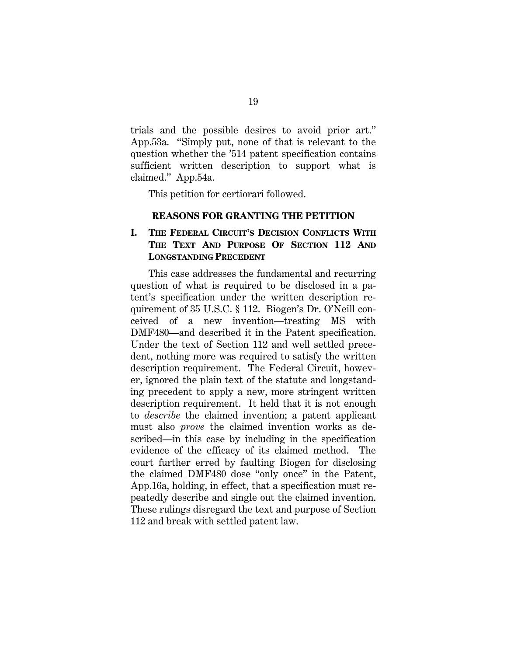trials and the possible desires to avoid prior art." App.53a. "Simply put, none of that is relevant to the question whether the '514 patent specification contains sufficient written description to support what is claimed." App.54a.

This petition for certiorari followed.

#### **REASONS FOR GRANTING THE PETITION**

## **I. THE FEDERAL CIRCUIT'S DECISION CONFLICTS WITH THE TEXT AND PURPOSE OF SECTION 112 AND LONGSTANDING PRECEDENT**

This case addresses the fundamental and recurring question of what is required to be disclosed in a patent's specification under the written description requirement of 35 U.S.C. § 112. Biogen's Dr. O'Neill conceived of a new invention—treating MS with DMF480—and described it in the Patent specification. Under the text of Section 112 and well settled precedent, nothing more was required to satisfy the written description requirement. The Federal Circuit, however, ignored the plain text of the statute and longstanding precedent to apply a new, more stringent written description requirement. It held that it is not enough to *describe* the claimed invention; a patent applicant must also *prove* the claimed invention works as described—in this case by including in the specification evidence of the efficacy of its claimed method. The court further erred by faulting Biogen for disclosing the claimed DMF480 dose "only once" in the Patent, App.16a, holding, in effect, that a specification must repeatedly describe and single out the claimed invention. These rulings disregard the text and purpose of Section 112 and break with settled patent law.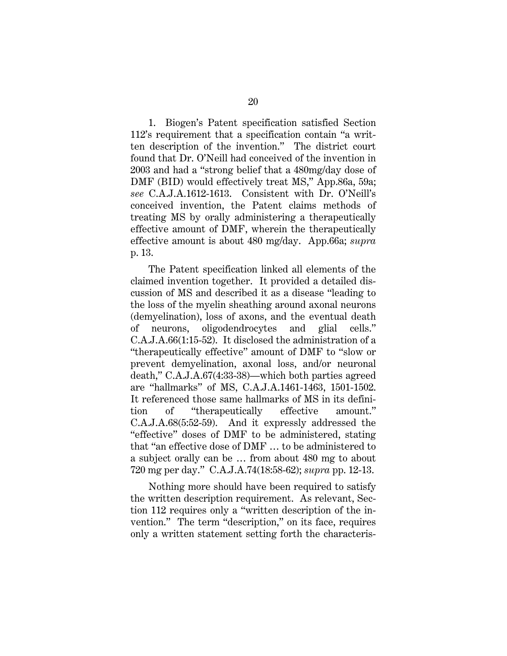1. Biogen's Patent specification satisfied Section 112's requirement that a specification contain "a written description of the invention." The district court found that Dr. O'Neill had conceived of the invention in 2003 and had a "strong belief that a 480mg/day dose of DMF (BID) would effectively treat MS," App.86a, 59a; *see* C.A.J.A.1612-1613. Consistent with Dr. O'Neill's conceived invention, the Patent claims methods of treating MS by orally administering a therapeutically effective amount of DMF, wherein the therapeutically effective amount is about 480 mg/day. App.66a; *supra* p. 13.

The Patent specification linked all elements of the claimed invention together. It provided a detailed discussion of MS and described it as a disease "leading to the loss of the myelin sheathing around axonal neurons (demyelination), loss of axons, and the eventual death of neurons, oligodendrocytes and glial cells." C.A.J.A.66(1:15-52). It disclosed the administration of a "therapeutically effective" amount of DMF to "slow or prevent demyelination, axonal loss, and/or neuronal death," C.A.J.A.67(4:33-38)—which both parties agreed are "hallmarks" of MS, C.A.J.A.1461-1463, 1501-1502. It referenced those same hallmarks of MS in its definition of "therapeutically effective amount." C.A.J.A.68(5:52-59). And it expressly addressed the "effective" doses of DMF to be administered, stating that "an effective dose of DMF … to be administered to a subject orally can be … from about 480 mg to about 720 mg per day." C.A.J.A.74(18:58-62); *supra* pp. 12-13.

Nothing more should have been required to satisfy the written description requirement. As relevant, Section 112 requires only a "written description of the invention." The term "description," on its face, requires only a written statement setting forth the characteris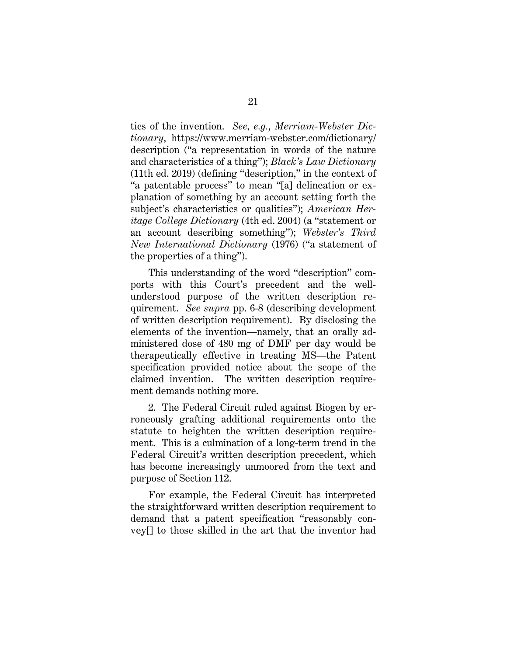tics of the invention. *See, e.g.*, *Merriam-Webster Dictionary*, https://www.merriam-webster.com/dictionary/ description ("a representation in words of the nature and characteristics of a thing"); *Black's Law Dictionary* (11th ed. 2019) (defining "description," in the context of "a patentable process" to mean "[a] delineation or explanation of something by an account setting forth the subject's characteristics or qualities"); *American Heritage College Dictionary* (4th ed. 2004) (a "statement or an account describing something"); *Webster's Third New International Dictionary* (1976) ("a statement of the properties of a thing").

This understanding of the word "description" comports with this Court's precedent and the wellunderstood purpose of the written description requirement. *See supra* pp. 6-8 (describing development of written description requirement). By disclosing the elements of the invention—namely, that an orally administered dose of 480 mg of DMF per day would be therapeutically effective in treating MS—the Patent specification provided notice about the scope of the claimed invention. The written description requirement demands nothing more.

2. The Federal Circuit ruled against Biogen by erroneously grafting additional requirements onto the statute to heighten the written description requirement. This is a culmination of a long-term trend in the Federal Circuit's written description precedent, which has become increasingly unmoored from the text and purpose of Section 112.

For example, the Federal Circuit has interpreted the straightforward written description requirement to demand that a patent specification "reasonably convey[] to those skilled in the art that the inventor had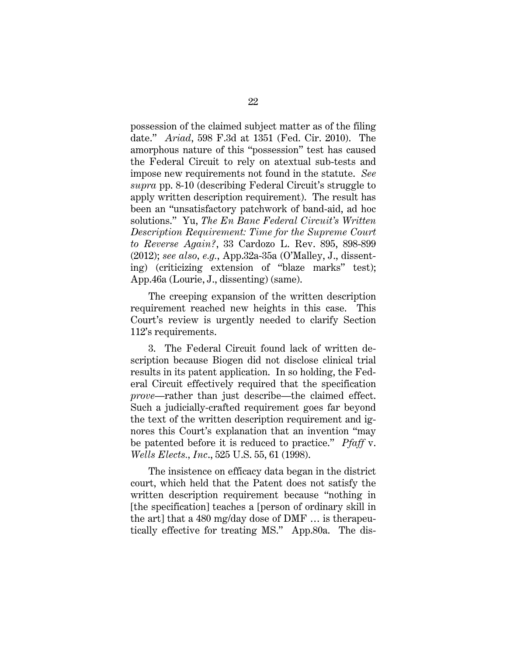possession of the claimed subject matter as of the filing date." *Ariad*, 598 F.3d at 1351 (Fed. Cir. 2010). The amorphous nature of this "possession" test has caused the Federal Circuit to rely on atextual sub-tests and impose new requirements not found in the statute. *See supra* pp. 8-10 (describing Federal Circuit's struggle to apply written description requirement). The result has been an "unsatisfactory patchwork of band-aid, ad hoc solutions." Yu, *The En Banc Federal Circuit's Written Description Requirement: Time for the Supreme Court to Reverse Again?*, 33 Cardozo L. Rev. 895, 898-899 (2012); *see also, e.g.*, App.32a-35a (O'Malley, J., dissenting) (criticizing extension of "blaze marks" test); App.46a (Lourie, J., dissenting) (same).

The creeping expansion of the written description requirement reached new heights in this case. This Court's review is urgently needed to clarify Section 112's requirements.

3. The Federal Circuit found lack of written description because Biogen did not disclose clinical trial results in its patent application. In so holding, the Federal Circuit effectively required that the specification *prove*—rather than just describe—the claimed effect. Such a judicially-crafted requirement goes far beyond the text of the written description requirement and ignores this Court's explanation that an invention "may be patented before it is reduced to practice." *Pfaff* v. *Wells Elects., Inc*., 525 U.S. 55, 61 (1998).

The insistence on efficacy data began in the district court, which held that the Patent does not satisfy the written description requirement because "nothing in [the specification] teaches a [person of ordinary skill in the art] that a 480 mg/day dose of DMF … is therapeutically effective for treating MS." App.80a. The dis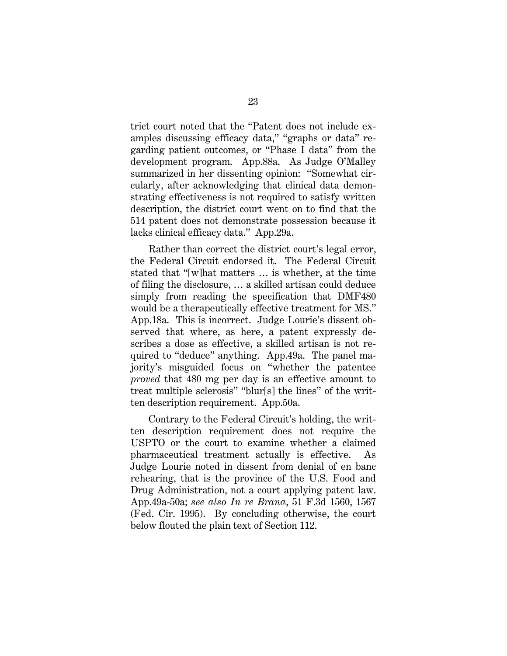trict court noted that the "Patent does not include examples discussing efficacy data," "graphs or data" regarding patient outcomes, or "Phase I data" from the development program. App.88a. As Judge O'Malley summarized in her dissenting opinion: "Somewhat circularly, after acknowledging that clinical data demonstrating effectiveness is not required to satisfy written description, the district court went on to find that the 514 patent does not demonstrate possession because it lacks clinical efficacy data." App.29a.

Rather than correct the district court's legal error, the Federal Circuit endorsed it. The Federal Circuit stated that "[w]hat matters … is whether, at the time of filing the disclosure, … a skilled artisan could deduce simply from reading the specification that DMF480 would be a therapeutically effective treatment for MS." App.18a. This is incorrect. Judge Lourie's dissent observed that where, as here, a patent expressly describes a dose as effective, a skilled artisan is not required to "deduce" anything. App.49a. The panel majority's misguided focus on "whether the patentee *proved* that 480 mg per day is an effective amount to treat multiple sclerosis" "blur[s] the lines" of the written description requirement. App.50a.

Contrary to the Federal Circuit's holding, the written description requirement does not require the USPTO or the court to examine whether a claimed pharmaceutical treatment actually is effective. As Judge Lourie noted in dissent from denial of en banc rehearing, that is the province of the U.S. Food and Drug Administration, not a court applying patent law. App.49a-50a; *see also In re Brana*, 51 F.3d 1560, 1567 (Fed. Cir. 1995). By concluding otherwise, the court below flouted the plain text of Section 112.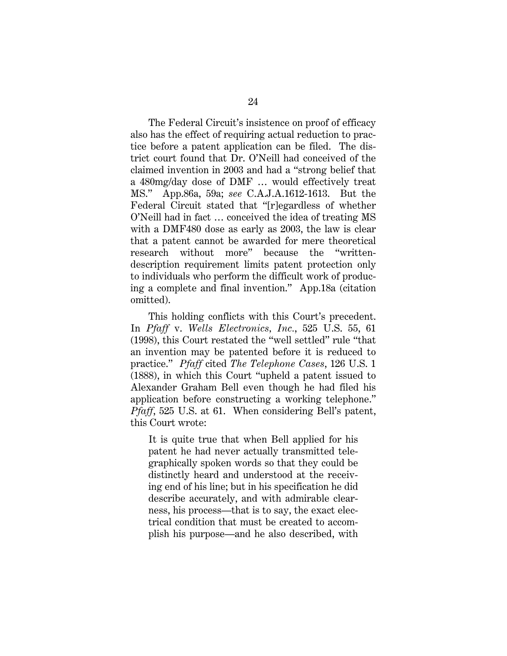The Federal Circuit's insistence on proof of efficacy also has the effect of requiring actual reduction to practice before a patent application can be filed. The district court found that Dr. O'Neill had conceived of the claimed invention in 2003 and had a "strong belief that a 480mg/day dose of DMF … would effectively treat MS." App.86a, 59a; *see* C.A.J.A.1612-1613. But the Federal Circuit stated that "[r]egardless of whether O'Neill had in fact … conceived the idea of treating MS with a DMF480 dose as early as 2003, the law is clear that a patent cannot be awarded for mere theoretical research without more" because the "writtendescription requirement limits patent protection only to individuals who perform the difficult work of producing a complete and final invention." App.18a (citation omitted).

This holding conflicts with this Court's precedent. In *Pfaff* v. *Wells Electronics, Inc.*, 525 U.S. 55, 61 (1998), this Court restated the "well settled" rule "that an invention may be patented before it is reduced to practice." *Pfaff* cited *The Telephone Cases*, 126 U.S. 1 (1888), in which this Court "upheld a patent issued to Alexander Graham Bell even though he had filed his application before constructing a working telephone." *Pfaff*, 525 U.S. at 61. When considering Bell's patent, this Court wrote:

It is quite true that when Bell applied for his patent he had never actually transmitted telegraphically spoken words so that they could be distinctly heard and understood at the receiving end of his line; but in his specification he did describe accurately, and with admirable clearness, his process—that is to say, the exact electrical condition that must be created to accomplish his purpose—and he also described, with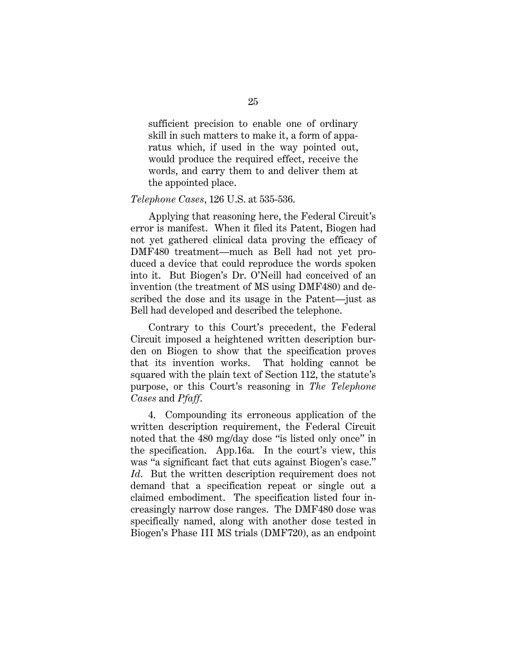sufficient precision to enable one of ordinary skill in such matters to make it, a form of apparatus which, if used in the way pointed out, would produce the required effect, receive the words, and carry them to and deliver them at the appointed place.

#### *Telephone Cases*, 126 U.S. at 535-536.

Applying that reasoning here, the Federal Circuit's error is manifest. When it filed its Patent, Biogen had not yet gathered clinical data proving the efficacy of DMF480 treatment—much as Bell had not yet produced a device that could reproduce the words spoken into it. But Biogen's Dr. O'Neill had conceived of an invention (the treatment of MS using DMF480) and described the dose and its usage in the Patent—just as Bell had developed and described the telephone.

Contrary to this Court's precedent, the Federal Circuit imposed a heightened written description burden on Biogen to show that the specification proves that its invention works. That holding cannot be squared with the plain text of Section 112, the statute's purpose, or this Court's reasoning in *The Telephone Cases* and *Pfaff*.

4. Compounding its erroneous application of the written description requirement, the Federal Circuit noted that the 480 mg/day dose "is listed only once" in the specification. App.16a. In the court's view, this was "a significant fact that cuts against Biogen's case." *Id*. But the written description requirement does not demand that a specification repeat or single out a claimed embodiment. The specification listed four increasingly narrow dose ranges. The DMF480 dose was specifically named, along with another dose tested in Biogen's Phase III MS trials (DMF720), as an endpoint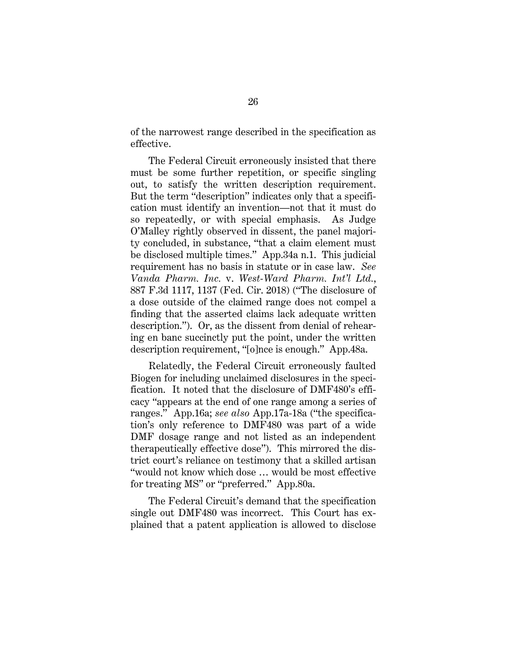of the narrowest range described in the specification as effective.

The Federal Circuit erroneously insisted that there must be some further repetition, or specific singling out, to satisfy the written description requirement. But the term "description" indicates only that a specification must identify an invention—not that it must do so repeatedly, or with special emphasis. As Judge O'Malley rightly observed in dissent, the panel majority concluded, in substance, "that a claim element must be disclosed multiple times." App.34a n.1. This judicial requirement has no basis in statute or in case law. *See Vanda Pharm. Inc.* v. *West-Ward Pharm. Int'l Ltd.*, 887 F.3d 1117, 1137 (Fed. Cir. 2018) ("The disclosure of a dose outside of the claimed range does not compel a finding that the asserted claims lack adequate written description."). Or, as the dissent from denial of rehearing en banc succinctly put the point, under the written description requirement, "[o]nce is enough." App.48a.

Relatedly, the Federal Circuit erroneously faulted Biogen for including unclaimed disclosures in the specification. It noted that the disclosure of DMF480's efficacy "appears at the end of one range among a series of ranges." App.16a; *see also* App.17a-18a ("the specification's only reference to DMF480 was part of a wide DMF dosage range and not listed as an independent therapeutically effective dose"). This mirrored the district court's reliance on testimony that a skilled artisan "would not know which dose … would be most effective for treating MS" or "preferred." App.80a.

The Federal Circuit's demand that the specification single out DMF480 was incorrect. This Court has explained that a patent application is allowed to disclose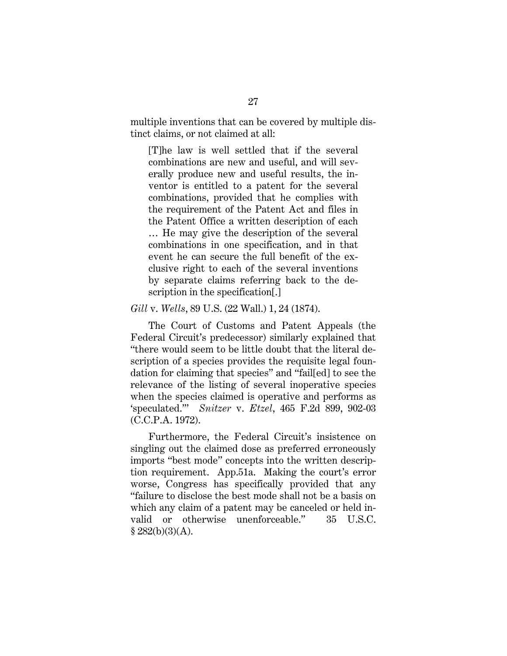multiple inventions that can be covered by multiple distinct claims, or not claimed at all:

[T]he law is well settled that if the several combinations are new and useful, and will severally produce new and useful results, the inventor is entitled to a patent for the several combinations, provided that he complies with the requirement of the Patent Act and files in the Patent Office a written description of each … He may give the description of the several combinations in one specification, and in that event he can secure the full benefit of the exclusive right to each of the several inventions by separate claims referring back to the description in the specification[.]

#### *Gill* v. *Wells*, 89 U.S. (22 Wall.) 1, 24 (1874).

The Court of Customs and Patent Appeals (the Federal Circuit's predecessor) similarly explained that "there would seem to be little doubt that the literal description of a species provides the requisite legal foundation for claiming that species" and "fail[ed] to see the relevance of the listing of several inoperative species when the species claimed is operative and performs as 'speculated.'" *Snitzer* v. *Etzel*, 465 F.2d 899, 902-03 (C.C.P.A. 1972).

Furthermore, the Federal Circuit's insistence on singling out the claimed dose as preferred erroneously imports "best mode" concepts into the written description requirement. App.51a. Making the court's error worse, Congress has specifically provided that any "failure to disclose the best mode shall not be a basis on which any claim of a patent may be canceled or held invalid or otherwise unenforceable." 35 U.S.C.  $§ 282(b)(3)(A).$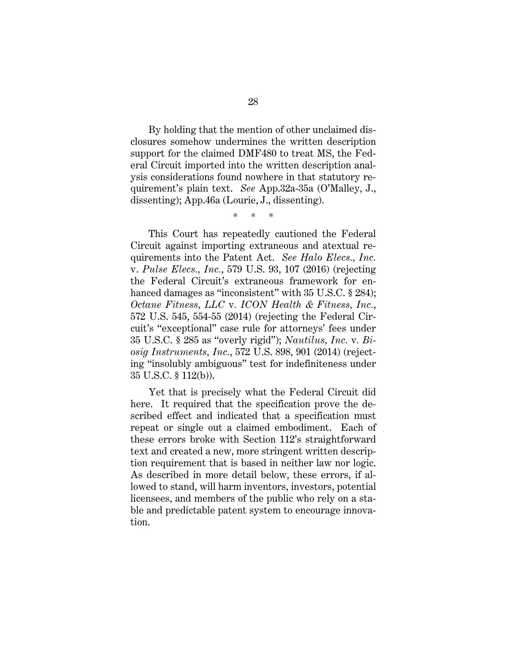By holding that the mention of other unclaimed disclosures somehow undermines the written description support for the claimed DMF480 to treat MS, the Federal Circuit imported into the written description analysis considerations found nowhere in that statutory requirement's plain text. *See* App.32a-35a (O'Malley, J., dissenting); App.46a (Lourie, J., dissenting).

\* \* \*

This Court has repeatedly cautioned the Federal Circuit against importing extraneous and atextual requirements into the Patent Act. *See Halo Elecs., Inc.*  v. *Pulse Elecs., Inc.*, 579 U.S. 93, 107 (2016) (rejecting the Federal Circuit's extraneous framework for enhanced damages as "inconsistent" with 35 U.S.C. § 284); *Octane Fitness, LLC* v*. ICON Health & Fitness, Inc.*, 572 U.S. 545, 554-55 (2014) (rejecting the Federal Circuit's "exceptional" case rule for attorneys' fees under 35 U.S.C. § 285 as "overly rigid"); *Nautilus, Inc.* v*. Biosig Instruments, Inc.*, 572 U.S. 898, 901 (2014) (rejecting "insolubly ambiguous" test for indefiniteness under 35 U.S.C. § 112(b)).

Yet that is precisely what the Federal Circuit did here. It required that the specification prove the described effect and indicated that a specification must repeat or single out a claimed embodiment. Each of these errors broke with Section 112's straightforward text and created a new, more stringent written description requirement that is based in neither law nor logic. As described in more detail below, these errors, if allowed to stand, will harm inventors, investors, potential licensees, and members of the public who rely on a stable and predictable patent system to encourage innovation.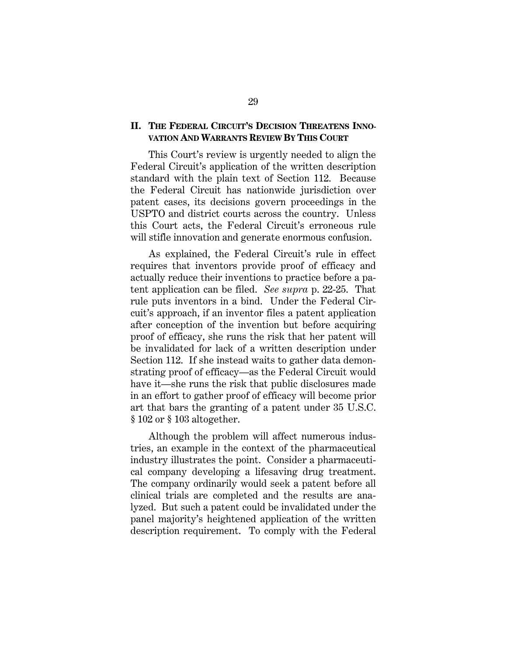#### **II. THE FEDERAL CIRCUIT'S DECISION THREATENS INNO-VATION AND WARRANTS REVIEW BY THIS COURT**

This Court's review is urgently needed to align the Federal Circuit's application of the written description standard with the plain text of Section 112. Because the Federal Circuit has nationwide jurisdiction over patent cases, its decisions govern proceedings in the USPTO and district courts across the country. Unless this Court acts, the Federal Circuit's erroneous rule will stifle innovation and generate enormous confusion.

As explained, the Federal Circuit's rule in effect requires that inventors provide proof of efficacy and actually reduce their inventions to practice before a patent application can be filed. *See supra* p. 22-25. That rule puts inventors in a bind. Under the Federal Circuit's approach, if an inventor files a patent application after conception of the invention but before acquiring proof of efficacy, she runs the risk that her patent will be invalidated for lack of a written description under Section 112. If she instead waits to gather data demonstrating proof of efficacy—as the Federal Circuit would have it—she runs the risk that public disclosures made in an effort to gather proof of efficacy will become prior art that bars the granting of a patent under 35 U.S.C. § 102 or § 103 altogether.

Although the problem will affect numerous industries, an example in the context of the pharmaceutical industry illustrates the point. Consider a pharmaceutical company developing a lifesaving drug treatment. The company ordinarily would seek a patent before all clinical trials are completed and the results are analyzed. But such a patent could be invalidated under the panel majority's heightened application of the written description requirement. To comply with the Federal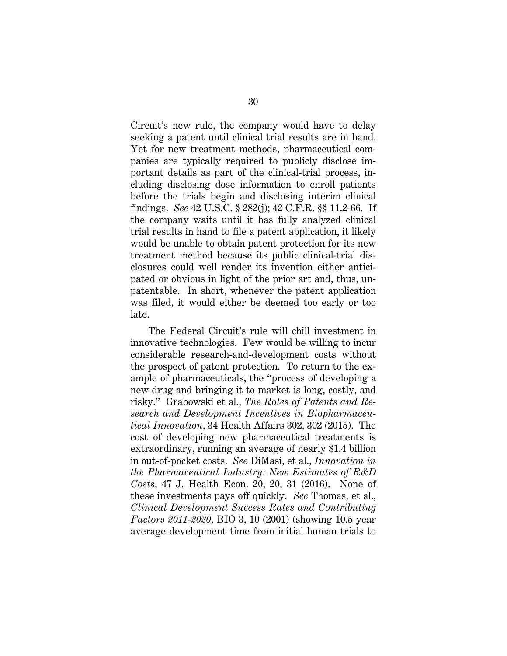Circuit's new rule, the company would have to delay seeking a patent until clinical trial results are in hand. Yet for new treatment methods, pharmaceutical companies are typically required to publicly disclose important details as part of the clinical-trial process, including disclosing dose information to enroll patients before the trials begin and disclosing interim clinical findings. *See* 42 U.S.C. § 282(j); 42 C.F.R. §§ 11.2-66. If the company waits until it has fully analyzed clinical trial results in hand to file a patent application, it likely would be unable to obtain patent protection for its new treatment method because its public clinical-trial disclosures could well render its invention either anticipated or obvious in light of the prior art and, thus, unpatentable. In short, whenever the patent application was filed, it would either be deemed too early or too late.

The Federal Circuit's rule will chill investment in innovative technologies. Few would be willing to incur considerable research-and-development costs without the prospect of patent protection. To return to the example of pharmaceuticals, the "process of developing a new drug and bringing it to market is long, costly, and risky." Grabowski et al., *The Roles of Patents and Research and Development Incentives in Biopharmaceutical Innovation*, 34 Health Affairs 302, 302 (2015). The cost of developing new pharmaceutical treatments is extraordinary, running an average of nearly \$1.4 billion in out-of-pocket costs. *See* DiMasi, et al., *Innovation in the Pharmaceutical Industry: New Estimates of R&D Costs*, 47 J. Health Econ. 20, 20, 31 (2016). None of these investments pays off quickly. *See* Thomas, et al., *Clinical Development Success Rates and Contributing Factors 2011-2020*, BIO 3, 10 (2001) (showing 10.5 year average development time from initial human trials to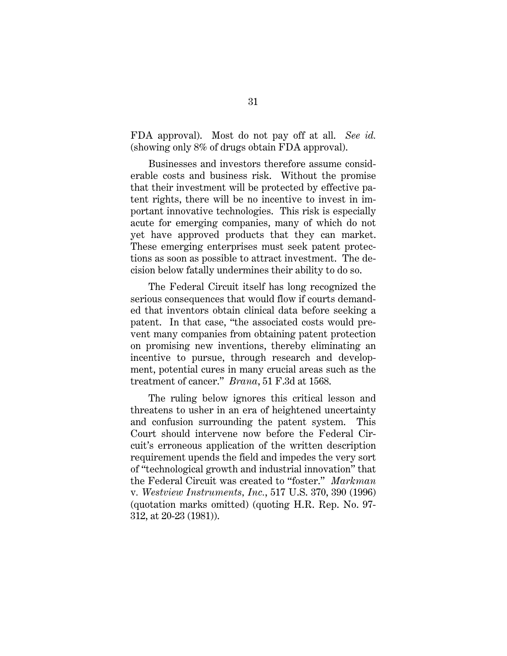FDA approval). Most do not pay off at all. *See id.* (showing only 8% of drugs obtain FDA approval).

Businesses and investors therefore assume considerable costs and business risk. Without the promise that their investment will be protected by effective patent rights, there will be no incentive to invest in important innovative technologies. This risk is especially acute for emerging companies, many of which do not yet have approved products that they can market. These emerging enterprises must seek patent protections as soon as possible to attract investment. The decision below fatally undermines their ability to do so.

The Federal Circuit itself has long recognized the serious consequences that would flow if courts demanded that inventors obtain clinical data before seeking a patent. In that case, "the associated costs would prevent many companies from obtaining patent protection on promising new inventions, thereby eliminating an incentive to pursue, through research and development, potential cures in many crucial areas such as the treatment of cancer." *Brana*, 51 F.3d at 1568.

The ruling below ignores this critical lesson and threatens to usher in an era of heightened uncertainty and confusion surrounding the patent system. This Court should intervene now before the Federal Circuit's erroneous application of the written description requirement upends the field and impedes the very sort of "technological growth and industrial innovation" that the Federal Circuit was created to "foster." *Markman*  v*. Westview Instruments, Inc.*, 517 U.S. 370, 390 (1996) (quotation marks omitted) (quoting H.R. Rep. No. 97- 312, at 20-23 (1981)).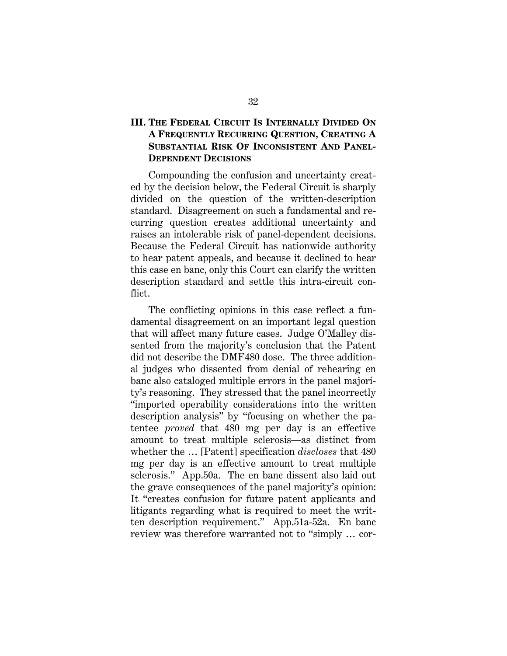## **III. THE FEDERAL CIRCUIT IS INTERNALLY DIVIDED ON A FREQUENTLY RECURRING QUESTION, CREATING A SUBSTANTIAL RISK OF INCONSISTENT AND PANEL-DEPENDENT DECISIONS**

Compounding the confusion and uncertainty created by the decision below, the Federal Circuit is sharply divided on the question of the written-description standard. Disagreement on such a fundamental and recurring question creates additional uncertainty and raises an intolerable risk of panel-dependent decisions. Because the Federal Circuit has nationwide authority to hear patent appeals, and because it declined to hear this case en banc, only this Court can clarify the written description standard and settle this intra-circuit conflict.

The conflicting opinions in this case reflect a fundamental disagreement on an important legal question that will affect many future cases. Judge O'Malley dissented from the majority's conclusion that the Patent did not describe the DMF480 dose. The three additional judges who dissented from denial of rehearing en banc also cataloged multiple errors in the panel majority's reasoning. They stressed that the panel incorrectly "imported operability considerations into the written description analysis" by "focusing on whether the patentee *proved* that 480 mg per day is an effective amount to treat multiple sclerosis—as distinct from whether the … [Patent] specification *discloses* that 480 mg per day is an effective amount to treat multiple sclerosis." App.50a. The en banc dissent also laid out the grave consequences of the panel majority's opinion: It "creates confusion for future patent applicants and litigants regarding what is required to meet the written description requirement." App.51a-52a. En banc review was therefore warranted not to "simply … cor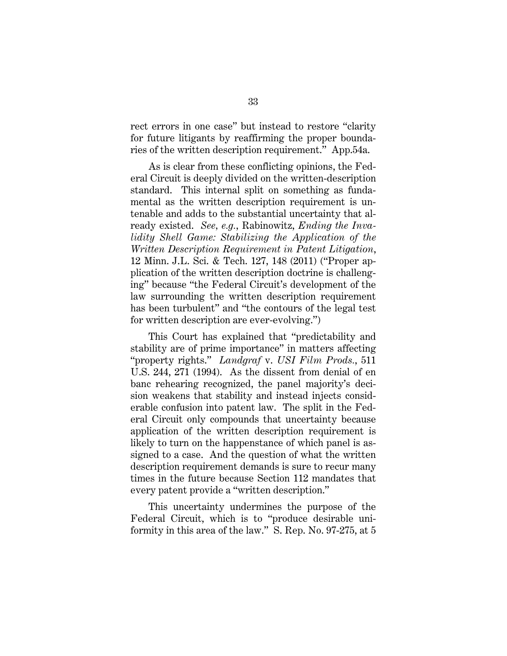rect errors in one case" but instead to restore "clarity for future litigants by reaffirming the proper boundaries of the written description requirement." App.54a.

As is clear from these conflicting opinions, the Federal Circuit is deeply divided on the written-description standard. This internal split on something as fundamental as the written description requirement is untenable and adds to the substantial uncertainty that already existed. *See, e.g.*, Rabinowitz, *Ending the Invalidity Shell Game: Stabilizing the Application of the Written Description Requirement in Patent Litigation*, 12 Minn. J.L. Sci. & Tech. 127, 148 (2011) ("Proper application of the written description doctrine is challenging" because "the Federal Circuit's development of the law surrounding the written description requirement has been turbulent" and "the contours of the legal test for written description are ever-evolving.")

This Court has explained that "predictability and stability are of prime importance" in matters affecting "property rights." *Landgraf* v. *USI Film Prods.*, 511 U.S. 244, 271 (1994). As the dissent from denial of en banc rehearing recognized, the panel majority's decision weakens that stability and instead injects considerable confusion into patent law. The split in the Federal Circuit only compounds that uncertainty because application of the written description requirement is likely to turn on the happenstance of which panel is assigned to a case. And the question of what the written description requirement demands is sure to recur many times in the future because Section 112 mandates that every patent provide a "written description."

This uncertainty undermines the purpose of the Federal Circuit, which is to "produce desirable uniformity in this area of the law." S. Rep. No. 97-275, at 5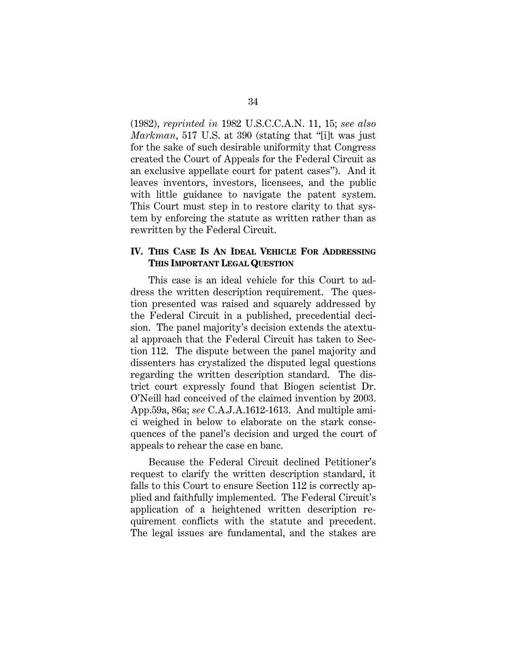(1982), *reprinted in* 1982 U.S.C.C.A.N. 11, 15; *see also Markman*, 517 U.S. at 390 (stating that "[i]t was just for the sake of such desirable uniformity that Congress created the Court of Appeals for the Federal Circuit as an exclusive appellate court for patent cases"). And it leaves inventors, investors, licensees, and the public with little guidance to navigate the patent system. This Court must step in to restore clarity to that system by enforcing the statute as written rather than as rewritten by the Federal Circuit.

#### **IV. THIS CASE IS AN IDEAL VEHICLE FOR ADDRESSING THIS IMPORTANT LEGAL QUESTION**

This case is an ideal vehicle for this Court to address the written description requirement. The question presented was raised and squarely addressed by the Federal Circuit in a published, precedential decision. The panel majority's decision extends the atextual approach that the Federal Circuit has taken to Section 112. The dispute between the panel majority and dissenters has crystalized the disputed legal questions regarding the written description standard. The district court expressly found that Biogen scientist Dr. O'Neill had conceived of the claimed invention by 2003. App.59a, 86a; *see* C.A.J.A.1612-1613. And multiple amici weighed in below to elaborate on the stark consequences of the panel's decision and urged the court of appeals to rehear the case en banc.

Because the Federal Circuit declined Petitioner's request to clarify the written description standard, it falls to this Court to ensure Section 112 is correctly applied and faithfully implemented. The Federal Circuit's application of a heightened written description requirement conflicts with the statute and precedent. The legal issues are fundamental, and the stakes are